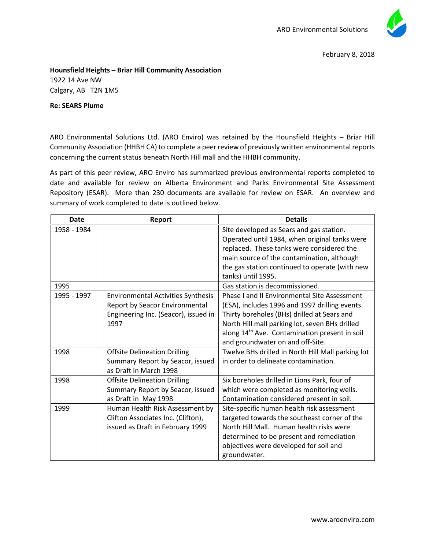

## **Hounsfield Heights – Briar Hill Community Association** 1922 14 Ave NW Calgary, AB T2N 1M5

## **Re: SEARS Plume**

ARO Environmental Solutions Ltd. (ARO Enviro) was retained by the Hounsfield Heights – Briar Hill Community Association (HHBH CA) to complete a peer review of previously written environmental reports concerning the current status beneath North Hill mall and the HHBH community.

As part of this peer review, ARO Enviro has summarized previous environmental reports completed to date and available for review on Alberta Environment and Parks Environmental Site Assessment Repository (ESAR). More than 230 documents are available for review on ESAR. An overview and summary of work completed to date is outlined below.

| <b>Date</b> | Report                                    | <b>Details</b>                                            |
|-------------|-------------------------------------------|-----------------------------------------------------------|
| 1958 - 1984 |                                           | Site developed as Sears and gas station.                  |
|             |                                           | Operated until 1984, when original tanks were             |
|             |                                           | replaced. These tanks were considered the                 |
|             |                                           | main source of the contamination, although                |
|             |                                           | the gas station continued to operate (with new            |
|             |                                           | tanks) until 1995.                                        |
| 1995        |                                           | Gas station is decommissioned.                            |
| 1995 - 1997 | <b>Environmental Activities Synthesis</b> | <b>Phase I and II Environmental Site Assessment</b>       |
|             | Report by Seacor Environmental            | (ESA), includes 1996 and 1997 drilling events.            |
|             | Engineering Inc. (Seacor), issued in      | Thirty boreholes (BHs) drilled at Sears and               |
|             | 1997                                      | North Hill mall parking lot, seven BHs drilled            |
|             |                                           | along 14 <sup>th</sup> Ave. Contamination present in soil |
|             |                                           | and groundwater on and off-Site.                          |
| 1998        | <b>Offsite Delineation Drilling</b>       | Twelve BHs drilled in North Hill Mall parking lot         |
|             | Summary Report by Seacor, issued          | in order to delineate contamination.                      |
|             | as Draft in March 1998                    |                                                           |
| 1998        | <b>Offsite Delineation Drilling</b>       | Six boreholes drilled in Lions Park, four of              |
|             | Summary Report by Seacor, issued          | which were completed as monitoring wells.                 |
|             | as Draft in May 1998                      | Contamination considered present in soil.                 |
| 1999        | Human Health Risk Assessment by           | Site-specific human health risk assessment                |
|             | Clifton Associates Inc. (Clifton),        | targeted towards the southeast corner of the              |
|             | issued as Draft in February 1999          | North Hill Mall. Human health risks were                  |
|             |                                           | determined to be present and remediation                  |
|             |                                           | objectives were developed for soil and                    |
|             |                                           | groundwater.                                              |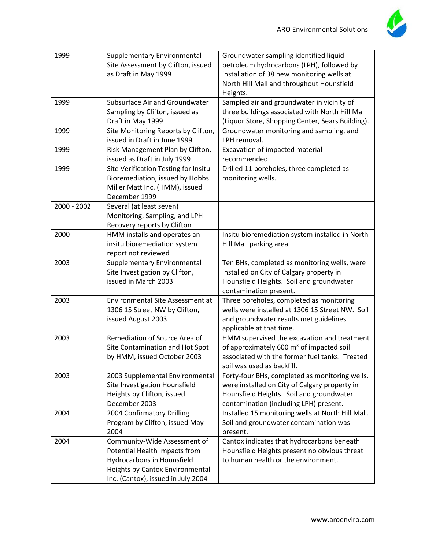

| 1999        | Supplementary Environmental<br>Site Assessment by Clifton, issued<br>as Draft in May 1999                                                                            | Groundwater sampling identified liquid<br>petroleum hydrocarbons (LPH), followed by<br>installation of 38 new monitoring wells at<br>North Hill Mall and throughout Hounsfield<br>Heights. |
|-------------|----------------------------------------------------------------------------------------------------------------------------------------------------------------------|--------------------------------------------------------------------------------------------------------------------------------------------------------------------------------------------|
| 1999        | Subsurface Air and Groundwater<br>Sampling by Clifton, issued as<br>Draft in May 1999                                                                                | Sampled air and groundwater in vicinity of<br>three buildings associated with North Hill Mall<br>(Liquor Store, Shopping Center, Sears Building).                                          |
| 1999        | Site Monitoring Reports by Clifton,<br>issued in Draft in June 1999                                                                                                  | Groundwater monitoring and sampling, and<br>LPH removal.                                                                                                                                   |
| 1999        | Risk Management Plan by Clifton,<br>issued as Draft in July 1999                                                                                                     | Excavation of impacted material<br>recommended.                                                                                                                                            |
| 1999        | Site Verification Testing for Insitu<br>Bioremediation, issued by Hobbs<br>Miller Matt Inc. (HMM), issued<br>December 1999                                           | Drilled 11 boreholes, three completed as<br>monitoring wells.                                                                                                                              |
| 2000 - 2002 | Several (at least seven)<br>Monitoring, Sampling, and LPH<br>Recovery reports by Clifton                                                                             |                                                                                                                                                                                            |
| 2000        | HMM installs and operates an<br>insitu bioremediation system -<br>report not reviewed                                                                                | Insitu bioremediation system installed in North<br>Hill Mall parking area.                                                                                                                 |
| 2003        | Supplementary Environmental<br>Site Investigation by Clifton,<br>issued in March 2003                                                                                | Ten BHs, completed as monitoring wells, were<br>installed on City of Calgary property in<br>Hounsfield Heights. Soil and groundwater<br>contamination present.                             |
| 2003        | <b>Environmental Site Assessment at</b><br>1306 15 Street NW by Clifton,<br>issued August 2003                                                                       | Three boreholes, completed as monitoring<br>wells were installed at 1306 15 Street NW. Soil<br>and groundwater results met guidelines<br>applicable at that time.                          |
| 2003        | Remediation of Source Area of<br>Site Contamination and Hot Spot<br>by HMM, issued October 2003                                                                      | HMM supervised the excavation and treatment<br>of approximately 600 m <sup>3</sup> of impacted soil<br>associated with the former fuel tanks. Treated<br>soil was used as backfill.        |
| 2003        | 2003 Supplemental Environmental<br>Site Investigation Hounsfield<br>Heights by Clifton, issued<br>December 2003                                                      | Forty-four BHs, completed as monitoring wells,<br>were installed on City of Calgary property in<br>Hounsfield Heights. Soil and groundwater<br>contamination (including LPH) present.      |
| 2004        | 2004 Confirmatory Drilling<br>Program by Clifton, issued May<br>2004                                                                                                 | Installed 15 monitoring wells at North Hill Mall.<br>Soil and groundwater contamination was<br>present.                                                                                    |
| 2004        | Community-Wide Assessment of<br>Potential Health Impacts from<br>Hydrocarbons in Hounsfield<br>Heights by Cantox Environmental<br>Inc. (Cantox), issued in July 2004 | Cantox indicates that hydrocarbons beneath<br>Hounsfield Heights present no obvious threat<br>to human health or the environment.                                                          |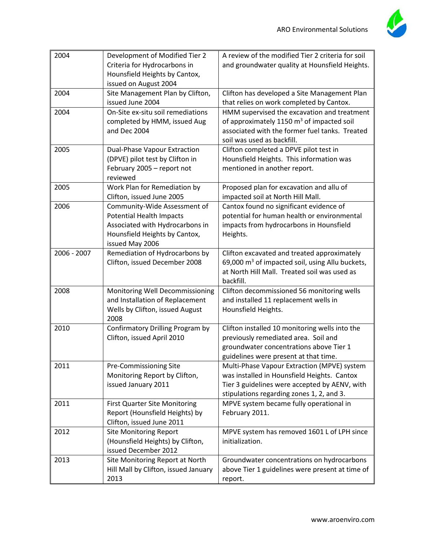

| 2004        | Development of Modified Tier 2<br>Criteria for Hydrocarbons in<br>Hounsfield Heights by Cantox,<br>issued on August 2004                               | A review of the modified Tier 2 criteria for soil<br>and groundwater quality at Hounsfield Heights.                                                                                      |
|-------------|--------------------------------------------------------------------------------------------------------------------------------------------------------|------------------------------------------------------------------------------------------------------------------------------------------------------------------------------------------|
| 2004        | Site Management Plan by Clifton,<br>issued June 2004                                                                                                   | Clifton has developed a Site Management Plan<br>that relies on work completed by Cantox.                                                                                                 |
| 2004        | On-Site ex-situ soil remediations<br>completed by HMM, issued Aug<br>and Dec 2004                                                                      | HMM supervised the excavation and treatment<br>of approximately 1150 m <sup>3</sup> of impacted soil<br>associated with the former fuel tanks. Treated<br>soil was used as backfill.     |
| 2005        | Dual-Phase Vapour Extraction<br>(DPVE) pilot test by Clifton in<br>February 2005 - report not<br>reviewed                                              | Clifton completed a DPVE pilot test in<br>Hounsfield Heights. This information was<br>mentioned in another report.                                                                       |
| 2005        | Work Plan for Remediation by<br>Clifton, issued June 2005                                                                                              | Proposed plan for excavation and allu of<br>impacted soil at North Hill Mall.                                                                                                            |
| 2006        | Community-Wide Assessment of<br><b>Potential Health Impacts</b><br>Associated with Hydrocarbons in<br>Hounsfield Heights by Cantox,<br>issued May 2006 | Cantox found no significant evidence of<br>potential for human health or environmental<br>impacts from hydrocarbons in Hounsfield<br>Heights.                                            |
| 2006 - 2007 | Remediation of Hydrocarbons by<br>Clifton, issued December 2008                                                                                        | Clifton excavated and treated approximately<br>69,000 m <sup>3</sup> of impacted soil, using Allu buckets,<br>at North Hill Mall. Treated soil was used as<br>backfill.                  |
| 2008        | Monitoring Well Decommissioning<br>and Installation of Replacement<br>Wells by Clifton, issued August<br>2008                                          | Clifton decommissioned 56 monitoring wells<br>and installed 11 replacement wells in<br>Hounsfield Heights.                                                                               |
| 2010        | Confirmatory Drilling Program by<br>Clifton, issued April 2010                                                                                         | Clifton installed 10 monitoring wells into the<br>previously remediated area. Soil and<br>groundwater concentrations above Tier 1<br>guidelines were present at that time.               |
| 2011        | Pre-Commissioning Site<br>Monitoring Report by Clifton,<br>issued January 2011                                                                         | Multi-Phase Vapour Extraction (MPVE) system<br>was installed in Hounsfield Heights. Cantox<br>Tier 3 guidelines were accepted by AENV, with<br>stipulations regarding zones 1, 2, and 3. |
| 2011        | <b>First Quarter Site Monitoring</b><br>Report (Hounsfield Heights) by<br>Clifton, issued June 2011                                                    | MPVE system became fully operational in<br>February 2011.                                                                                                                                |
| 2012        | <b>Site Monitoring Report</b><br>(Hounsfield Heights) by Clifton,<br>issued December 2012                                                              | MPVE system has removed 1601 L of LPH since<br>initialization.                                                                                                                           |
| 2013        | Site Monitoring Report at North<br>Hill Mall by Clifton, issued January<br>2013                                                                        | Groundwater concentrations on hydrocarbons<br>above Tier 1 guidelines were present at time of<br>report.                                                                                 |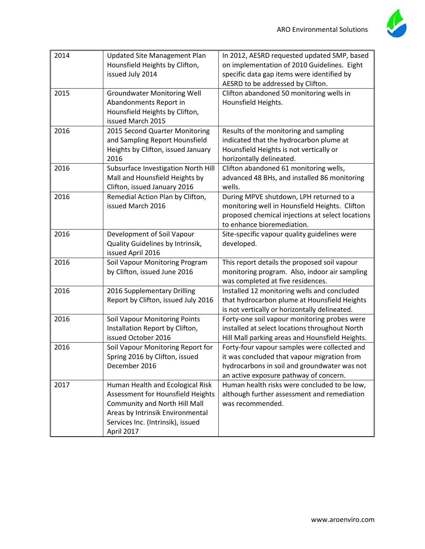

| 2014 | Updated Site Management Plan<br>Hounsfield Heights by Clifton,<br>issued July 2014                                                                                                            | In 2012, AESRD requested updated SMP, based<br>on implementation of 2010 Guidelines. Eight<br>specific data gap items were identified by<br>AESRD to be addressed by Clifton.         |
|------|-----------------------------------------------------------------------------------------------------------------------------------------------------------------------------------------------|---------------------------------------------------------------------------------------------------------------------------------------------------------------------------------------|
| 2015 | <b>Groundwater Monitoring Well</b><br>Abandonments Report in<br>Hounsfield Heights by Clifton,<br>issued March 2015                                                                           | Clifton abandoned 50 monitoring wells in<br>Hounsfield Heights.                                                                                                                       |
| 2016 | 2015 Second Quarter Monitoring<br>and Sampling Report Hounsfield<br>Heights by Clifton, issued January<br>2016                                                                                | Results of the monitoring and sampling<br>indicated that the hydrocarbon plume at<br>Hounsfield Heights is not vertically or<br>horizontally delineated.                              |
| 2016 | Subsurface Investigation North Hill<br>Mall and Hounsfield Heights by<br>Clifton, issued January 2016                                                                                         | Clifton abandoned 61 monitoring wells,<br>advanced 48 BHs, and installed 86 monitoring<br>wells.                                                                                      |
| 2016 | Remedial Action Plan by Clifton,<br>issued March 2016                                                                                                                                         | During MPVE shutdown, LPH returned to a<br>monitoring well in Hounsfield Heights. Clifton<br>proposed chemical injections at select locations<br>to enhance bioremediation.           |
| 2016 | Development of Soil Vapour<br>Quality Guidelines by Intrinsik,<br>issued April 2016                                                                                                           | Site-specific vapour quality guidelines were<br>developed.                                                                                                                            |
| 2016 | Soil Vapour Monitoring Program<br>by Clifton, issued June 2016                                                                                                                                | This report details the proposed soil vapour<br>monitoring program. Also, indoor air sampling<br>was completed at five residences.                                                    |
| 2016 | 2016 Supplementary Drilling<br>Report by Clifton, issued July 2016                                                                                                                            | Installed 12 monitoring wells and concluded<br>that hydrocarbon plume at Hounsfield Heights<br>is not vertically or horizontally delineated.                                          |
| 2016 | <b>Soil Vapour Monitoring Points</b><br>Installation Report by Clifton,<br>issued October 2016                                                                                                | Forty-one soil vapour monitoring probes were<br>installed at select locations throughout North<br>Hill Mall parking areas and Hounsfield Heights.                                     |
| 2016 | Soil Vapour Monitoring Report for<br>Spring 2016 by Clifton, issued<br>December 2016                                                                                                          | Forty-four vapour samples were collected and<br>it was concluded that vapour migration from<br>hydrocarbons in soil and groundwater was not<br>an active exposure pathway of concern. |
| 2017 | Human Health and Ecological Risk<br>Assessment for Hounsfield Heights<br>Community and North Hill Mall<br>Areas by Intrinsik Environmental<br>Services Inc. (Intrinsik), issued<br>April 2017 | Human health risks were concluded to be low,<br>although further assessment and remediation<br>was recommended.                                                                       |